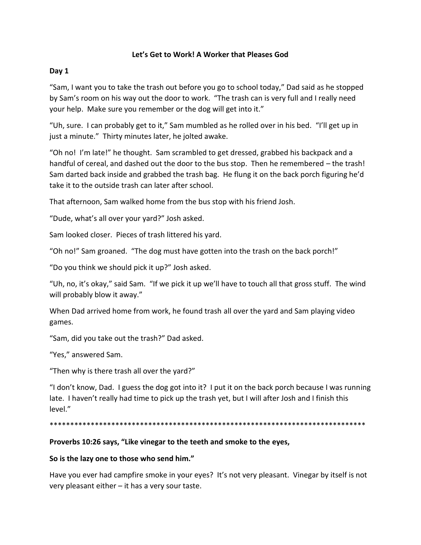# **Let's Get to Work! A Worker that Pleases God**

# **Day 1**

"Sam, I want you to take the trash out before you go to school today," Dad said as he stopped by Sam's room on his way out the door to work. "The trash can is very full and I really need your help. Make sure you remember or the dog will get into it."

"Uh, sure. I can probably get to it," Sam mumbled as he rolled over in his bed. "I'll get up in just a minute." Thirty minutes later, he jolted awake.

"Oh no! I'm late!" he thought. Sam scrambled to get dressed, grabbed his backpack and a handful of cereal, and dashed out the door to the bus stop. Then he remembered – the trash! Sam darted back inside and grabbed the trash bag. He flung it on the back porch figuring he'd take it to the outside trash can later after school.

That afternoon, Sam walked home from the bus stop with his friend Josh.

"Dude, what's all over your yard?" Josh asked.

Sam looked closer. Pieces of trash littered his yard.

"Oh no!" Sam groaned. "The dog must have gotten into the trash on the back porch!"

"Do you think we should pick it up?" Josh asked.

"Uh, no, it's okay," said Sam. "If we pick it up we'll have to touch all that gross stuff. The wind will probably blow it away."

When Dad arrived home from work, he found trash all over the yard and Sam playing video games.

"Sam, did you take out the trash?" Dad asked.

"Yes," answered Sam.

"Then why is there trash all over the yard?"

"I don't know, Dad. I guess the dog got into it? I put it on the back porch because I was running late. I haven't really had time to pick up the trash yet, but I will after Josh and I finish this level."

\*\*\*\*\*\*\*\*\*\*\*\*\*\*\*\*\*\*\*\*\*\*\*\*\*\*\*\*\*\*\*\*\*\*\*\*\*\*\*\*\*\*\*\*\*\*\*\*\*\*\*\*\*\*\*\*\*\*\*\*\*\*\*\*\*\*\*\*\*\*\*\*\*\*\*\*\*

# **Proverbs 10:26 says, "Like vinegar to the teeth and smoke to the eyes,**

### **So is the lazy one to those who send him."**

Have you ever had campfire smoke in your eyes? It's not very pleasant. Vinegar by itself is not very pleasant either – it has a very sour taste.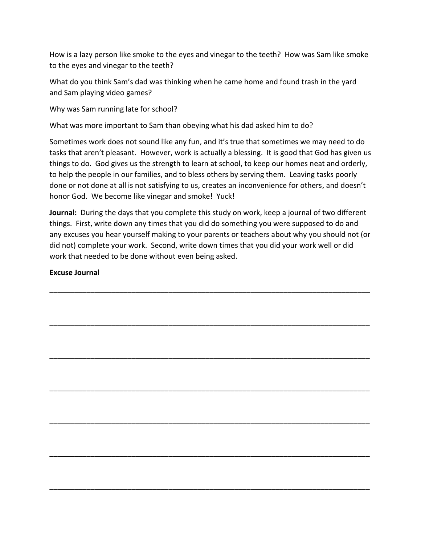How is a lazy person like smoke to the eyes and vinegar to the teeth? How was Sam like smoke to the eyes and vinegar to the teeth?

What do you think Sam's dad was thinking when he came home and found trash in the yard and Sam playing video games?

Why was Sam running late for school?

What was more important to Sam than obeying what his dad asked him to do?

Sometimes work does not sound like any fun, and it's true that sometimes we may need to do tasks that aren't pleasant. However, work is actually a blessing. It is good that God has given us things to do. God gives us the strength to learn at school, to keep our homes neat and orderly, to help the people in our families, and to bless others by serving them. Leaving tasks poorly done or not done at all is not satisfying to us, creates an inconvenience for others, and doesn't honor God. We become like vinegar and smoke! Yuck!

**Journal:** During the days that you complete this study on work, keep a journal of two different things. First, write down any times that you did do something you were supposed to do and any excuses you hear yourself making to your parents or teachers about why you should not (or did not) complete your work. Second, write down times that you did your work well or did work that needed to be done without even being asked.

\_\_\_\_\_\_\_\_\_\_\_\_\_\_\_\_\_\_\_\_\_\_\_\_\_\_\_\_\_\_\_\_\_\_\_\_\_\_\_\_\_\_\_\_\_\_\_\_\_\_\_\_\_\_\_\_\_\_\_\_\_\_\_\_\_\_\_\_\_\_\_\_\_\_\_\_\_\_

\_\_\_\_\_\_\_\_\_\_\_\_\_\_\_\_\_\_\_\_\_\_\_\_\_\_\_\_\_\_\_\_\_\_\_\_\_\_\_\_\_\_\_\_\_\_\_\_\_\_\_\_\_\_\_\_\_\_\_\_\_\_\_\_\_\_\_\_\_\_\_\_\_\_\_\_\_\_

\_\_\_\_\_\_\_\_\_\_\_\_\_\_\_\_\_\_\_\_\_\_\_\_\_\_\_\_\_\_\_\_\_\_\_\_\_\_\_\_\_\_\_\_\_\_\_\_\_\_\_\_\_\_\_\_\_\_\_\_\_\_\_\_\_\_\_\_\_\_\_\_\_\_\_\_\_\_

\_\_\_\_\_\_\_\_\_\_\_\_\_\_\_\_\_\_\_\_\_\_\_\_\_\_\_\_\_\_\_\_\_\_\_\_\_\_\_\_\_\_\_\_\_\_\_\_\_\_\_\_\_\_\_\_\_\_\_\_\_\_\_\_\_\_\_\_\_\_\_\_\_\_\_\_\_\_

\_\_\_\_\_\_\_\_\_\_\_\_\_\_\_\_\_\_\_\_\_\_\_\_\_\_\_\_\_\_\_\_\_\_\_\_\_\_\_\_\_\_\_\_\_\_\_\_\_\_\_\_\_\_\_\_\_\_\_\_\_\_\_\_\_\_\_\_\_\_\_\_\_\_\_\_\_\_

\_\_\_\_\_\_\_\_\_\_\_\_\_\_\_\_\_\_\_\_\_\_\_\_\_\_\_\_\_\_\_\_\_\_\_\_\_\_\_\_\_\_\_\_\_\_\_\_\_\_\_\_\_\_\_\_\_\_\_\_\_\_\_\_\_\_\_\_\_\_\_\_\_\_\_\_\_\_

\_\_\_\_\_\_\_\_\_\_\_\_\_\_\_\_\_\_\_\_\_\_\_\_\_\_\_\_\_\_\_\_\_\_\_\_\_\_\_\_\_\_\_\_\_\_\_\_\_\_\_\_\_\_\_\_\_\_\_\_\_\_\_\_\_\_\_\_\_\_\_\_\_\_\_\_\_\_

### **Excuse Journal**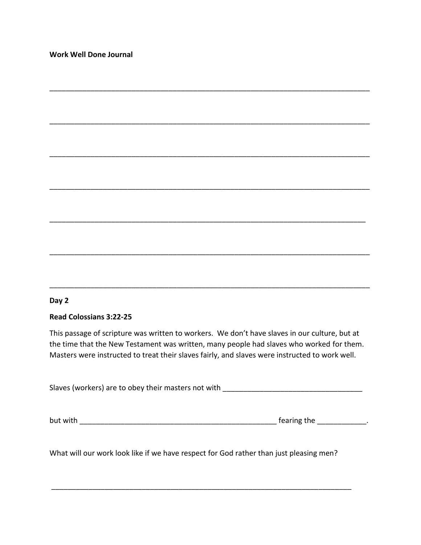### **Day 2**

### **Read Colossians 3:22-25**

This passage of scripture was written to workers. We don't have slaves in our culture, but at the time that the New Testament was written, many people had slaves who worked for them. Masters were instructed to treat their slaves fairly, and slaves were instructed to work well.

\_\_\_\_\_\_\_\_\_\_\_\_\_\_\_\_\_\_\_\_\_\_\_\_\_\_\_\_\_\_\_\_\_\_\_\_\_\_\_\_\_\_\_\_\_\_\_\_\_\_\_\_\_\_\_\_\_\_\_\_\_\_\_\_\_\_\_\_\_\_\_\_\_\_\_\_\_\_

\_\_\_\_\_\_\_\_\_\_\_\_\_\_\_\_\_\_\_\_\_\_\_\_\_\_\_\_\_\_\_\_\_\_\_\_\_\_\_\_\_\_\_\_\_\_\_\_\_\_\_\_\_\_\_\_\_\_\_\_\_\_\_\_\_\_\_\_\_\_\_\_\_\_\_\_\_\_

\_\_\_\_\_\_\_\_\_\_\_\_\_\_\_\_\_\_\_\_\_\_\_\_\_\_\_\_\_\_\_\_\_\_\_\_\_\_\_\_\_\_\_\_\_\_\_\_\_\_\_\_\_\_\_\_\_\_\_\_\_\_\_\_\_\_\_\_\_\_\_\_\_\_\_\_\_\_

\_\_\_\_\_\_\_\_\_\_\_\_\_\_\_\_\_\_\_\_\_\_\_\_\_\_\_\_\_\_\_\_\_\_\_\_\_\_\_\_\_\_\_\_\_\_\_\_\_\_\_\_\_\_\_\_\_\_\_\_\_\_\_\_\_\_\_\_\_\_\_\_\_\_\_\_\_\_

\_\_\_\_\_\_\_\_\_\_\_\_\_\_\_\_\_\_\_\_\_\_\_\_\_\_\_\_\_\_\_\_\_\_\_\_\_\_\_\_\_\_\_\_\_\_\_\_\_\_\_\_\_\_\_\_\_\_\_\_\_\_\_\_\_\_\_\_\_\_\_\_\_\_\_\_\_

\_\_\_\_\_\_\_\_\_\_\_\_\_\_\_\_\_\_\_\_\_\_\_\_\_\_\_\_\_\_\_\_\_\_\_\_\_\_\_\_\_\_\_\_\_\_\_\_\_\_\_\_\_\_\_\_\_\_\_\_\_\_\_\_\_\_\_\_\_\_\_\_\_\_\_\_\_\_

\_\_\_\_\_\_\_\_\_\_\_\_\_\_\_\_\_\_\_\_\_\_\_\_\_\_\_\_\_\_\_\_\_\_\_\_\_\_\_\_\_\_\_\_\_\_\_\_\_\_\_\_\_\_\_\_\_\_\_\_\_\_\_\_\_\_\_\_\_\_\_\_\_\_\_\_\_\_

Slaves (workers) are to obey their masters not with \_\_\_\_\_\_\_\_\_\_\_\_\_\_\_\_\_\_\_\_\_\_\_\_\_\_\_\_

but with \_\_\_\_\_\_\_\_\_\_\_\_\_\_\_\_\_\_\_\_\_\_\_\_\_\_\_\_\_\_\_\_\_\_\_\_\_\_\_\_\_\_\_\_\_\_\_\_ fearing the \_\_\_\_\_\_\_\_\_\_\_\_.

What will our work look like if we have respect for God rather than just pleasing men?

\_\_\_\_\_\_\_\_\_\_\_\_\_\_\_\_\_\_\_\_\_\_\_\_\_\_\_\_\_\_\_\_\_\_\_\_\_\_\_\_\_\_\_\_\_\_\_\_\_\_\_\_\_\_\_\_\_\_\_\_\_\_\_\_\_\_\_\_\_\_\_\_\_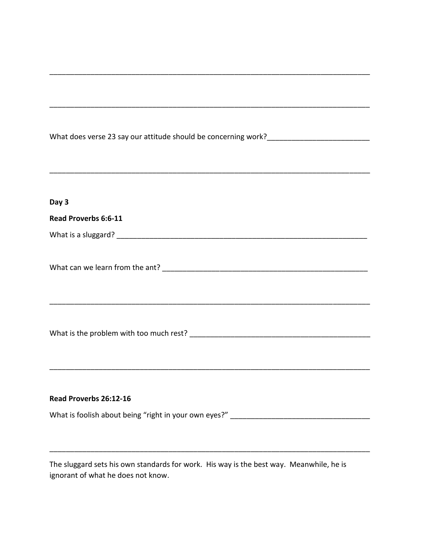| Day 3                                                                                   |  |
|-----------------------------------------------------------------------------------------|--|
| Read Proverbs 6:6-11                                                                    |  |
|                                                                                         |  |
|                                                                                         |  |
|                                                                                         |  |
|                                                                                         |  |
|                                                                                         |  |
|                                                                                         |  |
|                                                                                         |  |
|                                                                                         |  |
|                                                                                         |  |
|                                                                                         |  |
| Read Proverbs 26:12-16                                                                  |  |
|                                                                                         |  |
|                                                                                         |  |
|                                                                                         |  |
| The sluggard sets his own standards for work. His way is the hest way. Meanwhile, he is |  |

The sluggard sets his own standards for work. His way is the best way. Meanwhile, he is ignorant of what he does not know.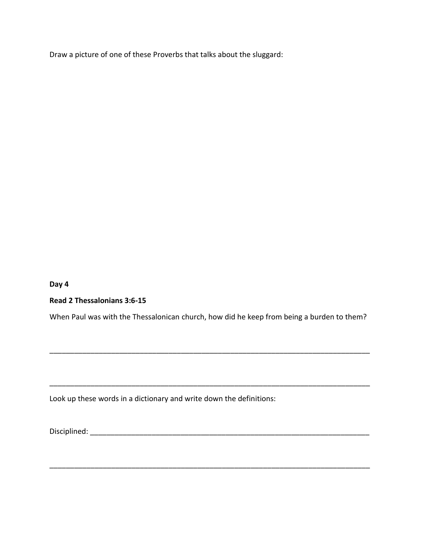Draw a picture of one of these Proverbs that talks about the sluggard:

**Day 4**

**Read 2 Thessalonians 3:6-15**

When Paul was with the Thessalonican church, how did he keep from being a burden to them?

\_\_\_\_\_\_\_\_\_\_\_\_\_\_\_\_\_\_\_\_\_\_\_\_\_\_\_\_\_\_\_\_\_\_\_\_\_\_\_\_\_\_\_\_\_\_\_\_\_\_\_\_\_\_\_\_\_\_\_\_\_\_\_\_\_\_\_\_\_\_\_\_\_\_\_\_\_\_

\_\_\_\_\_\_\_\_\_\_\_\_\_\_\_\_\_\_\_\_\_\_\_\_\_\_\_\_\_\_\_\_\_\_\_\_\_\_\_\_\_\_\_\_\_\_\_\_\_\_\_\_\_\_\_\_\_\_\_\_\_\_\_\_\_\_\_\_\_\_\_\_\_\_\_\_\_\_

\_\_\_\_\_\_\_\_\_\_\_\_\_\_\_\_\_\_\_\_\_\_\_\_\_\_\_\_\_\_\_\_\_\_\_\_\_\_\_\_\_\_\_\_\_\_\_\_\_\_\_\_\_\_\_\_\_\_\_\_\_\_\_\_\_\_\_\_\_\_\_\_\_\_\_\_\_\_

Look up these words in a dictionary and write down the definitions:

Disciplined:  $\Box$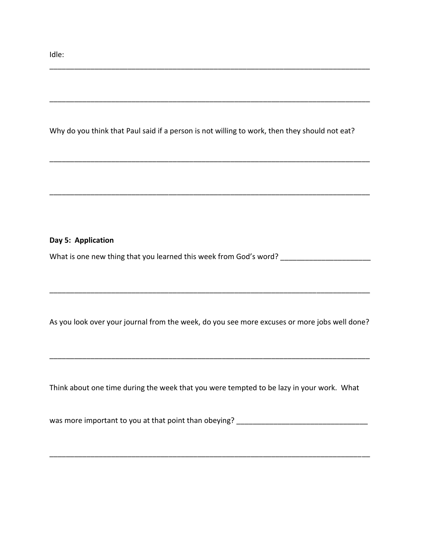Idle:

Why do you think that Paul said if a person is not willing to work, then they should not eat?

\_\_\_\_\_\_\_\_\_\_\_\_\_\_\_\_\_\_\_\_\_\_\_\_\_\_\_\_\_\_\_\_\_\_\_\_\_\_\_\_\_\_\_\_\_\_\_\_\_\_\_\_\_\_\_\_\_\_\_\_\_\_\_\_\_\_\_\_\_\_\_\_\_\_\_\_\_\_

\_\_\_\_\_\_\_\_\_\_\_\_\_\_\_\_\_\_\_\_\_\_\_\_\_\_\_\_\_\_\_\_\_\_\_\_\_\_\_\_\_\_\_\_\_\_\_\_\_\_\_\_\_\_\_\_\_\_\_\_\_\_\_\_\_\_\_\_\_\_\_\_\_\_\_\_\_\_

#### **Day 5: Application**

What is one new thing that you learned this week from God's word? \_\_\_\_\_\_\_\_\_\_\_\_\_\_

As you look over your journal from the week, do you see more excuses or more jobs well done?

\_\_\_\_\_\_\_\_\_\_\_\_\_\_\_\_\_\_\_\_\_\_\_\_\_\_\_\_\_\_\_\_\_\_\_\_\_\_\_\_\_\_\_\_\_\_\_\_\_\_\_\_\_\_\_\_\_\_\_\_\_\_\_\_\_\_\_\_\_\_\_\_\_\_\_\_\_\_

\_\_\_\_\_\_\_\_\_\_\_\_\_\_\_\_\_\_\_\_\_\_\_\_\_\_\_\_\_\_\_\_\_\_\_\_\_\_\_\_\_\_\_\_\_\_\_\_\_\_\_\_\_\_\_\_\_\_\_\_\_\_\_\_\_\_\_\_\_\_\_\_\_\_\_\_\_\_

Think about one time during the week that you were tempted to be lazy in your work. What

was more important to you at that point than obeying? \_\_\_\_\_\_\_\_\_\_\_\_\_\_\_\_\_\_\_\_\_\_\_\_\_\_

\_\_\_\_\_\_\_\_\_\_\_\_\_\_\_\_\_\_\_\_\_\_\_\_\_\_\_\_\_\_\_\_\_\_\_\_\_\_\_\_\_\_\_\_\_\_\_\_\_\_\_\_\_\_\_\_\_\_\_\_\_\_\_\_\_\_\_\_\_\_\_\_\_\_\_\_\_\_